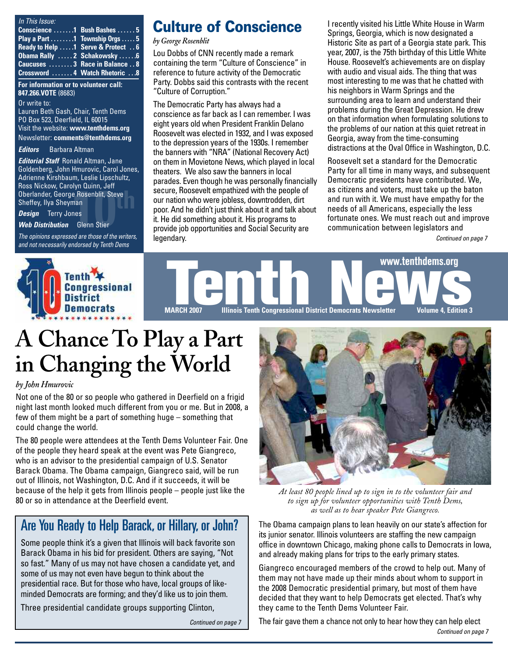| In This Issue:                                |                                     |
|-----------------------------------------------|-------------------------------------|
| Conscience 1 Bush Bashes  5                   |                                     |
| Play a Part $\dots$ 1 Township Orgs $\dots$ 5 |                                     |
| Ready to Help 1 Serve & Protect 6             |                                     |
| Obama Rally  2 Schakowsky  6                  |                                     |
| Caucuses  3 Race in Balance  8                |                                     |
|                                               | <b>Crossword 4 Watch Rhetoric 8</b> |

#### **For information or to volunteer call: 847.266.VOTE** (8683)

Or write to: Lauren Beth Gash, Chair, Tenth Dems PO Box 523, Deerfield, IL 60015 Visit the website: **www.tenthdems.org**  Newsletter: **comments@tenthdems.org**

#### *Editors* Barbara Altman

**10th** Decision Carolyn Quinn, Jen<br>
Oberlander, George Rosenblit, Steve<br>
Sheffey, Ilya Sheyman<br> **Design** Terry Jones<br>
Web Distribution Glenn Stier<br>
The spisions augmented as these of the unit is *Editorial Staff* Ronald Altman, Jane Goldenberg, John Hmurovic, Carol Jones, Adrienne Kirshbaum, Leslie Lipschultz, Ross Nickow, Carolyn Quinn, Jeff Sheffey, Ilya Sheyman

*Design* Terry Jones

*Web Distribution* Glenn Stier

*The opinions expressed are those of the writers, and not necessarily endorsed by Tenth Dems*

### **Culture of Conscience**

*by George Rosenblit*

Lou Dobbs of CNN recently made a remark containing the term "Culture of Conscience" in reference to future activity of the Democratic Party. Dobbs said this contrasts with the recent "Culture of Corruption."

The Democratic Party has always had a conscience as far back as I can remember. I was eight years old when President Franklin Delano Roosevelt was elected in 1932, and I was exposed to the depression years of the 1930s. I remember the banners with "NRA" (National Recovery Act) on them in Movietone News, which played in local theaters. We also saw the banners in local parades. Even though he was personally financially secure, Roosevelt empathized with the people of our nation who were jobless, downtrodden, dirt poor. And he didn't just think about it and talk about it. He did something about it. His programs to provide job opportunities and Social Security are legendary.

I recently visited his Little White House in Warm Springs, Georgia, which is now designated a Historic Site as part of a Georgia state park. This year, 2007, is the 75th birthday of this Little White House. Roosevelt's achievements are on display with audio and visual aids. The thing that was most interesting to me was that he chatted with his neighbors in Warm Springs and the surrounding area to learn and understand their problems during the Great Depression. He drew on that information when formulating solutions to the problems of our nation at this quiet retreat in Georgia, away from the time-consuming distractions at the Oval Office in Washington, D.C.

Roosevelt set a standard for the Democratic Party for all time in many ways, and subsequent Democratic presidents have contributed. We, as citizens and voters, must take up the baton and run with it. We must have empathy for the needs of all Americans, especially the less fortunate ones. We must reach out and improve communication between legislators and

*Continued on page 7*



# **A Chance To Play a Part in Changing the World**

#### *by John Hmurovic*

Not one of the 80 or so people who gathered in Deerfield on a frigid night last month looked much different from you or me. But in 2008, a few of them might be a part of something huge – something that could change the world.

The 80 people were attendees at the Tenth Dems Volunteer Fair. One of the people they heard speak at the event was Pete Giangreco, who is an advisor to the presidential campaign of U.S. Senator Barack Obama. The Obama campaign, Giangreco said, will be run out of Illinois, not Washington, D.C. And if it succeeds, it will be because of the help it gets from Illinois people – people just like the 80 or so in attendance at the Deerfield event.

### Are You Ready to Help Barack, or Hillary, or John?

Some people think it's a given that Illinois will back favorite son Barack Obama in his bid for president. Others are saying, "Not so fast." Many of us may not have chosen a candidate yet, and some of us may not even have begun to think about the presidential race. But for those who have, local groups of likeminded Democrats are forming; and they'd like us to join them.

Three presidential candidate groups supporting Clinton,

*Continued on page 7*



*At least 80 people lined up to sign in to the volunteer fair and to sign up for volunteer opportunities with Tenth Dems, as well as to hear speaker Pete Giangreco.*

The Obama campaign plans to lean heavily on our state's affection for its junior senator. Illinois volunteers are staffing the new campaign office in downtown Chicago, making phone calls to Democrats in Iowa, and already making plans for trips to the early primary states.

Giangreco encouraged members of the crowd to help out. Many of them may not have made up their minds about whom to support in the 2008 Democratic presidential primary, but most of them have decided that they want to help Democrats get elected. That's why they came to the Tenth Dems Volunteer Fair.

The fair gave them a chance not only to hear how they can help elect *Continued on page 7*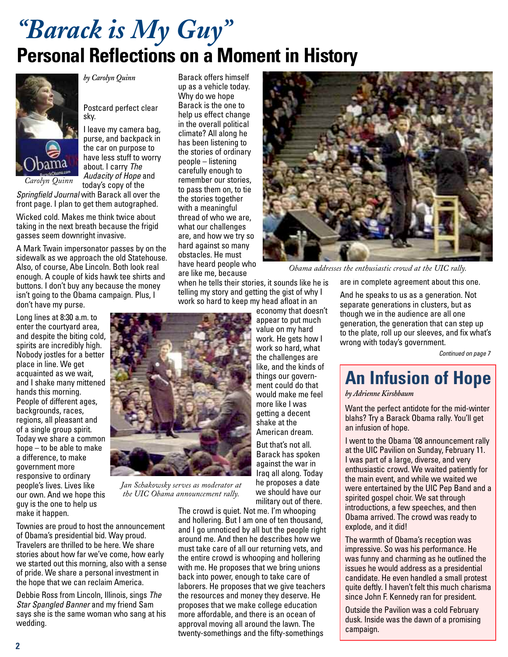## *"Barack is My Guy"* **Personal Reflections on a Moment in History**



*by Carolyn Quinn*

Postcard perfect clear sky.

I leave my camera bag, purse, and backpack in the car on purpose to have less stuff to worry about. I carry *The Audacity of Hope* and today's copy of the

*Springfield Journal* with Barack all over the front page. I plan to get them autographed.

Wicked cold. Makes me think twice about taking in the next breath because the frigid gasses seem downright invasive.

A Mark Twain impersonator passes by on the sidewalk as we approach the old Statehouse. Also, of course, Abe Lincoln. Both look real enough. A couple of kids hawk tee shirts and buttons. I don't buy any because the money isn't going to the Obama campaign. Plus, I don't have my purse.

Long lines at 8:30 a.m. to enter the courtyard area, and despite the biting cold, spirits are incredibly high. Nobody jostles for a better place in line. We get acquainted as we wait, and I shake many mittened hands this morning. People of different ages, backgrounds, races, regions, all pleasant and of a single group spirit. Today we share a common hope – to be able to make a difference, to make government more responsive to ordinary people's lives. Lives like our own. And we hope this guy is the one to help us make it happen.

*Jan Schakowsky serves as moderator at the UIC Obama announcement rally.*

Townies are proud to host the announcement of Obama's presidential bid. Way proud. Travelers are thrilled to be here. We share stories about how far we've come, how early we started out this morning, also with a sense of pride. We share a personal investment in the hope that we can reclaim America.

Debbie Ross from Lincoln, Illinois, sings *The Star Spangled Banner* and my friend Sam says she is the same woman who sang at his wedding.

Barack offers himself up as a vehicle today. Why do we hope Barack is the one to help us effect change in the overall political climate? All along he has been listening to the stories of ordinary people – listening carefully enough to remember our stories, to pass them on, to tie the stories together with a meaningful thread of who we are, what our challenges are, and how we try so hard against so many obstacles. He must have heard people who are like me, because

when he tells their stories, it sounds like he is telling my story and getting the gist of why I work so hard to keep my head afloat in an

> economy that doesn't appear to put much value on my hard work. He gets how I work so hard, what the challenges are like, and the kinds of things our government could do that would make me feel more like I was getting a decent shake at the American dream.

But that's not all. Barack has spoken against the war in Iraq all along. Today he proposes a date we should have our military out of there.

The crowd is quiet. Not me. I'm whooping and hollering. But I am one of ten thousand, and I go unnoticed by all but the people right around me. And then he describes how we must take care of all our returning vets, and the entire crowd is whooping and hollering with me. He proposes that we bring unions back into power, enough to take care of laborers. He proposes that we give teachers the resources and money they deserve. He proposes that we make college education more affordable, and there is an ocean of approval moving all around the lawn. The twenty-somethings and the fifty-somethings



*Obama addresses the enthusiastic crowd at the UIC rally.*

are in complete agreement about this one.

And he speaks to us as a generation. Not separate generations in clusters, but as though we in the audience are all one generation, the generation that can step up to the plate, roll up our sleeves, and fix what's wrong with today's government.

*Continued on page 7*

## **An Infusion of Hope**

*by Adrienne Kirshbaum*

Want the perfect antidote for the mid-winter blahs? Try a Barack Obama rally. You'll get an infusion of hope.

I went to the Obama '08 announcement rally at the UIC Pavilion on Sunday, February 11. I was part of a large, diverse, and very enthusiastic crowd. We waited patiently for the main event, and while we waited we were entertained by the UIC Pep Band and a spirited gospel choir. We sat through introductions, a few speeches, and then Obama arrived. The crowd was ready to explode, and it did!

The warmth of Obama's reception was impressive. So was his performance. He was funny and charming as he outlined the issues he would address as a presidential candidate. He even handled a small protest quite deftly. I haven't felt this much charisma since John F. Kennedy ran for president.

Outside the Pavilion was a cold February dusk. Inside was the dawn of a promising campaign.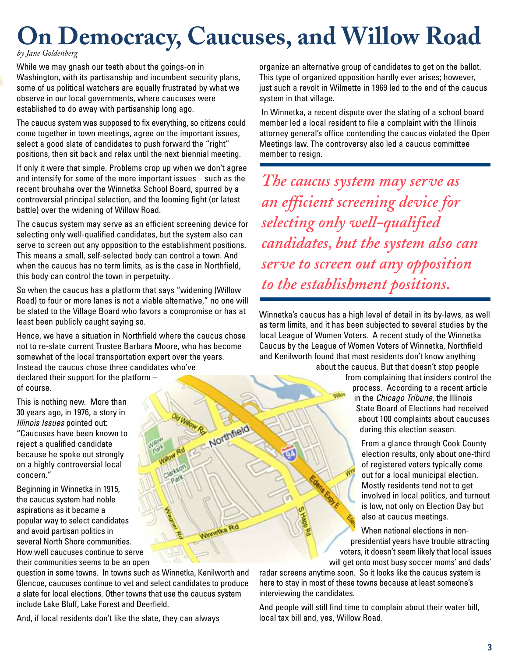# **On Democracy, Caucuses, and Willow Road**

#### *by Jane Goldenberg*

While we may gnash our teeth about the goings-on in Washington, with its partisanship and incumbent security plans, some of us political watchers are equally frustrated by what we observe in our local governments, where caucuses were established to do away with partisanship long ago.

The caucus system was supposed to fix everything, so citizens could come together in town meetings, agree on the important issues, select a good slate of candidates to push forward the "right" positions, then sit back and relax until the next biennial meeting.

If only it were that simple. Problems crop up when we don't agree and intensify for some of the more important issues – such as the recent brouhaha over the Winnetka School Board, spurred by a controversial principal selection, and the looming fight (or latest battle) over the widening of Willow Road.

The caucus system may serve as an efficient screening device for selecting only well-qualified candidates, but the system also can serve to screen out any opposition to the establishment positions. This means a small, self-selected body can control a town. And when the caucus has no term limits, as is the case in Northfield, this body can control the town in perpetuity.

So when the caucus has a platform that says "widening (Willow Road) to four or more lanes is not a viable alternative," no one will be slated to the Village Board who favors a compromise or has at least been publicly caught saying so.

Hence, we have a situation in Northfield where the caucus chose not to re-slate current Trustee Barbara Moore, who has become somewhat of the local transportation expert over the years. Instead the caucus chose three candidates who've declared their support for the platform – of course.

This is nothing new. More than 30 years ago, in 1976, a story in *Illinois Issues* pointed out: "Caucuses have been known to reject a qualified candidate because he spoke out strongly on a highly controversial local concern."

Beginning in Winnetka in 1915, the caucus system had noble aspirations as it became a popular way to select candidates and avoid partisan politics in several North Shore communities. How well caucuses continue to serve their communities seems to be an open

Northfield Nametka

question in some towns. In towns such as Winnetka, Kenilworth and Glencoe, caucuses continue to vet and select candidates to produce a slate for local elections. Other towns that use the caucus system include Lake Bluff, Lake Forest and Deerfield.

And, if local residents don't like the slate, they can always

organize an alternative group of candidates to get on the ballot. This type of organized opposition hardly ever arises; however, just such a revolt in Wilmette in 1969 led to the end of the caucus system in that village.

In Winnetka, a recent dispute over the slating of a school board member led a local resident to file a complaint with the Illinois attorney general's office contending the caucus violated the Open Meetings law. The controversy also led a caucus committee member to resign.

*The caucus system may serve as an efficient screening device for selecting only well-qualified candidates, but the system also can serve to screen out any opposition to the establishment positions.*

Winnetka's caucus has a high level of detail in its by-laws, as well as term limits, and it has been subjected to several studies by the local League of Women Voters. A recent study of the Winnetka Caucus by the League of Women Voters of Winnetka, Northfield and Kenilworth found that most residents don't know anything about the caucus. But that doesn't stop people

from complaining that insiders control the process. According to a recent article in the *Chicago Tribune*, the Illinois State Board of Elections had received about 100 complaints about caucuses during this election season.

> From a glance through Cook County election results, only about one-third of registered voters typically come out for a local municipal election. Mostly residents tend not to get involved in local politics, and turnout is low, not only on Election Day but also at caucus meetings.

When national elections in nonpresidential years have trouble attracting voters, it doesn't seem likely that local issues will get onto most busy soccer moms' and dads'

radar screens anytime soon. So it looks like the caucus system is here to stay in most of these towns because at least someone's interviewing the candidates.

And people will still find time to complain about their water bill, local tax bill and, yes, Willow Road.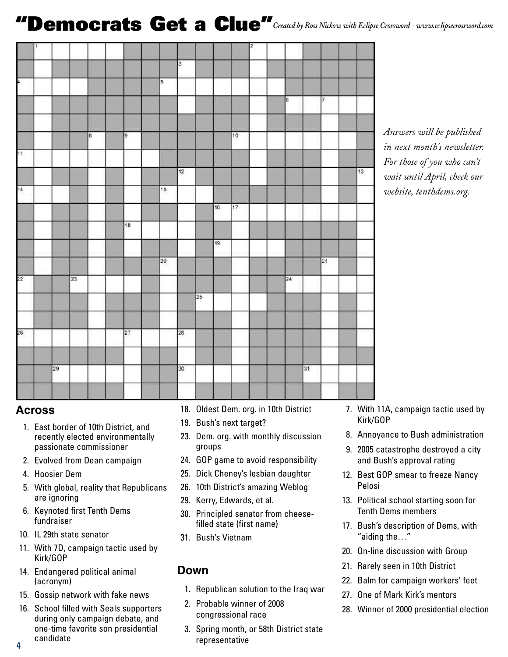## **"Democrats Get a Clue"***Created by Ross Nickow with Eclipse Crossword - www.eclipsecrossword.com*

|     | 1 |    |    |   |    |                |                   |    |                 |     | 2 |    |    |                 |    |
|-----|---|----|----|---|----|----------------|-------------------|----|-----------------|-----|---|----|----|-----------------|----|
|     |   |    |    |   |    |                | J.                |    |                 |     |   |    |    |                 |    |
| A.  |   |    |    |   |    | $\overline{5}$ |                   |    |                 |     |   |    |    |                 |    |
|     |   |    |    |   |    |                |                   |    |                 |     |   | Γ  |    | $\overline{7}$  |    |
|     |   |    |    |   |    |                |                   |    |                 |     |   |    |    |                 |    |
|     |   |    |    | 8 | p  |                |                   |    |                 | 10  |   |    |    |                 |    |
| 11. |   |    |    |   |    |                |                   |    |                 |     |   |    |    |                 |    |
|     |   |    |    |   |    |                | $12 \overline{ }$ |    |                 |     |   |    |    |                 | 13 |
| 14  |   |    |    |   |    | 15             |                   |    |                 |     |   |    |    |                 |    |
|     |   |    |    |   |    |                |                   |    | 16              | 17. |   |    |    |                 |    |
|     |   |    |    |   | 18 |                |                   |    |                 |     |   |    |    |                 |    |
|     |   |    |    |   |    |                |                   |    | 19 <sub>1</sub> |     |   |    |    |                 |    |
|     |   |    |    |   |    | 20             |                   |    |                 |     |   |    |    | $\overline{21}$ |    |
| 22  |   |    | 23 |   |    |                |                   |    |                 |     |   | 24 |    |                 |    |
|     |   |    |    |   |    |                |                   | 25 |                 |     |   |    |    |                 |    |
|     |   |    |    |   |    |                |                   |    |                 |     |   |    |    |                 |    |
| 26  |   |    |    |   | 27 |                | 28                |    |                 |     |   |    |    |                 |    |
|     |   |    |    |   |    |                |                   |    |                 |     |   |    |    |                 |    |
|     |   | 29 |    |   |    |                | 30                |    |                 |     |   |    | 31 |                 |    |
|     |   |    |    |   |    |                |                   |    |                 |     |   |    |    |                 |    |

*Answers will be published in next month's newsletter. For those of you who can't wait until April, check our website, tenthdems.org.*

#### **Across**

- 1. East border of 10th District, and recently elected environmentally passionate commissioner
- 2. Evolved from Dean campaign
- 4. Hoosier Dem
- 5. With global, reality that Republicans are ignoring
- 6. Keynoted first Tenth Dems fundraiser
- 10. IL 29th state senator
- 11. With 7D, campaign tactic used by Kirk/GOP
- 14. Endangered political animal (acronym)
- 15. Gossip network with fake news
- 16. School filled with Seals supporters during only campaign debate, and one-time favorite son presidential candidate
- 18. Oldest Dem. org. in 10th District
- 19. Bush's next target?
- 23. Dem. org. with monthly discussion groups
- 24. GOP game to avoid responsibility
- 25. Dick Cheney's lesbian daughter
- 26. 10th District's amazing Weblog
- 29. Kerry, Edwards, et al.
- 30. Principled senator from cheesefilled state (first name)
- 31. Bush's Vietnam

#### **Down**

- 1. Republican solution to the Iraq war
- 2. Probable winner of 2008 congressional race
- 3. Spring month, or 58th District state representative
- 7. With 11A, campaign tactic used by Kirk/GOP
- 8. Annoyance to Bush administration
- 9. 2005 catastrophe destroyed a city and Bush's approval rating
- 12. Best GOP smear to freeze Nancy Pelosi
- 13. Political school starting soon for Tenth Dems members
- 17. Bush's description of Dems, with "aiding the…"
- 20. On-line discussion with Group
- 21. Rarely seen in 10th District
- 22. Balm for campaign workers' feet
- 27. One of Mark Kirk's mentors
- 28. Winner of 2000 presidential election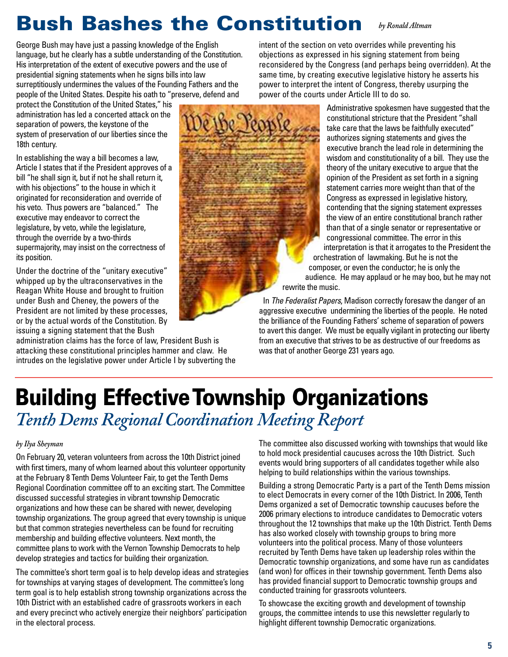## **Bush Bashes the Constitution** *by Ronald Altman*

George Bush may have just a passing knowledge of the English language, but he clearly has a subtle understanding of the Constitution. His interpretation of the extent of executive powers and the use of presidential signing statements when he signs bills into law surreptitiously undermines the values of the Founding Fathers and the people of the United States. Despite his oath to "preserve, defend and

protect the Constitution of the United States," his administration has led a concerted attack on the separation of powers, the keystone of the system of preservation of our liberties since the 18th century.

In establishing the way a bill becomes a law, Article I states that if the President approves of a bill "he shall sign it, but if not he shall return it, with his objections" to the house in which it originated for reconsideration and override of his veto. Thus powers are "balanced." The executive may endeavor to correct the legislature, by veto, while the legislature, through the override by a two-thirds supermajority, may insist on the correctness of its position.

Under the doctrine of the "unitary executive" whipped up by the ultraconservatives in the Reagan White House and brought to fruition under Bush and Cheney, the powers of the President are not limited by these processes, or by the actual words of the Constitution. By issuing a signing statement that the Bush

administration claims has the force of law, President Bush is attacking these constitutional principles hammer and claw. He intrudes on the legislative power under Article I by subverting the intent of the section on veto overrides while preventing his objections as expressed in his signing statement from being reconsidered by the Congress (and perhaps being overridden). At the same time, by creating executive legislative history he asserts his power to interpret the intent of Congress, thereby usurping the power of the courts under Article III to do so.



Administrative spokesmen have suggested that the constitutional stricture that the President "shall take care that the laws be faithfully executed" authorizes signing statements and gives the executive branch the lead role in determining the wisdom and constitutionality of a bill. They use the theory of the unitary executive to argue that the opinion of the President as set forth in a signing statement carries more weight than that of the Congress as expressed in legislative history, contending that the signing statement expresses the view of an entire constitutional branch rather than that of a single senator or representative or congressional committee. The error in this interpretation is that it arrogates to the President the orchestration of lawmaking. But he is not the composer, or even the conductor; he is only the audience. He may applaud or he may boo, but he may not

In *The Federalist Papers*, Madison correctly foresaw the danger of an aggressive executive undermining the liberties of the people. He noted the brilliance of the Founding Fathers' scheme of separation of powers to avert this danger. We must be equally vigilant in protecting our liberty from an executive that strives to be as destructive of our freedoms as was that of another George 231 years ago.

## **Building Effective Township Organizations** *Tenth Dems Regional Coordination Meeting Report*

#### *by Ilya Sheyman*

On February 20, veteran volunteers from across the 10th District joined with first timers, many of whom learned about this volunteer opportunity at the February 8 Tenth Dems Volunteer Fair, to get the Tenth Dems Regional Coordination committee off to an exciting start. The Committee discussed successful strategies in vibrant township Democratic organizations and how these can be shared with newer, developing township organizations. The group agreed that every township is unique but that common strategies nevertheless can be found for recruiting membership and building effective volunteers. Next month, the committee plans to work with the Vernon Township Democrats to help develop strategies and tactics for building their organization.

The committee's short term goal is to help develop ideas and strategies for townships at varying stages of development. The committee's long term goal is to help establish strong township organizations across the 10th District with an established cadre of grassroots workers in each and every precinct who actively energize their neighbors' participation in the electoral process.

The committee also discussed working with townships that would like to hold mock presidential caucuses across the 10th District. Such events would bring supporters of all candidates together while also helping to build relationships within the various townships.

Building a strong Democratic Party is a part of the Tenth Dems mission to elect Democrats in every corner of the 10th District. In 2006, Tenth Dems organized a set of Democratic township caucuses before the 2006 primary elections to introduce candidates to Democratic voters throughout the 12 townships that make up the 10th District. Tenth Dems has also worked closely with township groups to bring more volunteers into the political process. Many of those volunteers recruited by Tenth Dems have taken up leadership roles within the Democratic township organizations, and some have run as candidates (and won) for offices in their township government. Tenth Dems also has provided financial support to Democratic township groups and conducted training for grassroots volunteers.

To showcase the exciting growth and development of township groups, the committee intends to use this newsletter regularly to highlight different township Democratic organizations.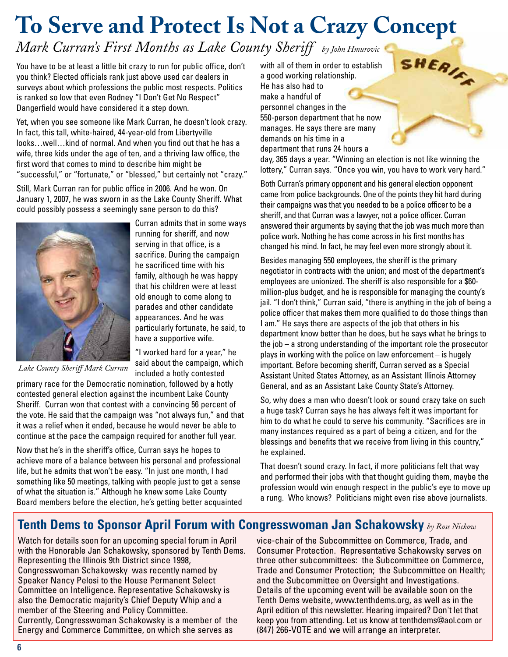# **To Serve and Protect Is Not a Crazy Concept**

### *Mark Curran's First Months as Lake County Sheriff by John Hmurovic*

You have to be at least a little bit crazy to run for public office, don't you think? Elected officials rank just above used car dealers in surveys about which professions the public most respects. Politics is ranked so low that even Rodney "I Don't Get No Respect" Dangerfield would have considered it a step down.

Yet, when you see someone like Mark Curran, he doesn't look crazy. In fact, this tall, white-haired, 44-year-old from Libertyville looks…well…kind of normal. And when you find out that he has a wife, three kids under the age of ten, and a thriving law office, the first word that comes to mind to describe him might be "successful," or "fortunate," or "blessed," but certainly not "crazy."

Still, Mark Curran ran for public office in 2006. And he won. On January 1, 2007, he was sworn in as the Lake County Sheriff. What could possibly possess a seemingly sane person to do this?



Curran admits that in some ways running for sheriff, and now serving in that office, is a sacrifice. During the campaign he sacrificed time with his family, although he was happy that his children were at least old enough to come along to parades and other candidate appearances. And he was particularly fortunate, he said, to have a supportive wife.

"I worked hard for a year," he said about the campaign, which included a hotly contested

*Lake County Sheriff Mark Curran*

primary race for the Democratic nomination, followed by a hotly contested general election against the incumbent Lake County Sheriff. Curran won that contest with a convincing 56 percent of the vote. He said that the campaign was "not always fun," and that it was a relief when it ended, because he would never be able to continue at the pace the campaign required for another full year.

Now that he's in the sheriff's office, Curran says he hopes to achieve more of a balance between his personal and professional life, but he admits that won't be easy. "In just one month, I had something like 50 meetings, talking with people just to get a sense of what the situation is." Although he knew some Lake County Board members before the election, he's getting better acquainted with all of them in order to establish a good working relationship. He has also had to make a handful of personnel changes in the 550-person department that he now manages. He says there are many demands on his time in a department that runs 24 hours a

day, 365 days a year. "Winning an election is not like winning the lottery," Curran says. "Once you win, you have to work very hard."

SHERIER

Both Curran's primary opponent and his general election opponent came from police backgrounds. One of the points they hit hard during their campaigns was that you needed to be a police officer to be a sheriff, and that Curran was a lawyer, not a police officer. Curran answered their arguments by saying that the job was much more than police work. Nothing he has come across in his first months has changed his mind. In fact, he may feel even more strongly about it.

Besides managing 550 employees, the sheriff is the primary negotiator in contracts with the union; and most of the department's employees are unionized. The sheriff is also responsible for a \$60 million-plus budget, and he is responsible for managing the county's jail. "I don't think," Curran said, "there is anything in the job of being a police officer that makes them more qualified to do those things than I am." He says there are aspects of the job that others in his department know better than he does, but he says what he brings to the job – a strong understanding of the important role the prosecutor plays in working with the police on law enforcement – is hugely important. Before becoming sheriff, Curran served as a Special Assistant United States Attorney, as an Assistant Illinois Attorney General, and as an Assistant Lake County State's Attorney.

So, why does a man who doesn't look or sound crazy take on such a huge task? Curran says he has always felt it was important for him to do what he could to serve his community. "Sacrifices are in many instances required as a part of being a citizen, and for the blessings and benefits that we receive from living in this country," he explained.

That doesn't sound crazy. In fact, if more politicians felt that way and performed their jobs with that thought guiding them, maybe the profession would win enough respect in the public's eye to move up a rung. Who knows? Politicians might even rise above journalists.

### **Tenth Dems to Sponsor April Forum with Congresswoman Jan Schakowsky** *by Ross Nickow*

Watch for details soon for an upcoming special forum in April with the Honorable Jan Schakowsky, sponsored by Tenth Dems. Representing the Illinois 9th District since 1998, Congresswoman Schakowsky was recently named by Speaker Nancy Pelosi to the House Permanent Select Committee on Intelligence. Representative Schakowsky is also the Democratic majority's Chief Deputy Whip and a member of the Steering and Policy Committee. Currently, Congresswoman Schakowsky is a member of the Energy and Commerce Committee, on which she serves as

vice-chair of the Subcommittee on Commerce, Trade, and Consumer Protection. Representative Schakowsky serves on three other subcommittees: the Subcommittee on Commerce, Trade and Consumer Protection; the Subcommittee on Health; and the Subcommittee on Oversight and Investigations. Details of the upcoming event will be available soon on the Tenth Dems website, www.tenthdems.org, as well as in the April edition of this newsletter. Hearing impaired? Don't let that keep you from attending. Let us know at tenthdems@aol.com or (847) 266-VOTE and we will arrange an interpreter.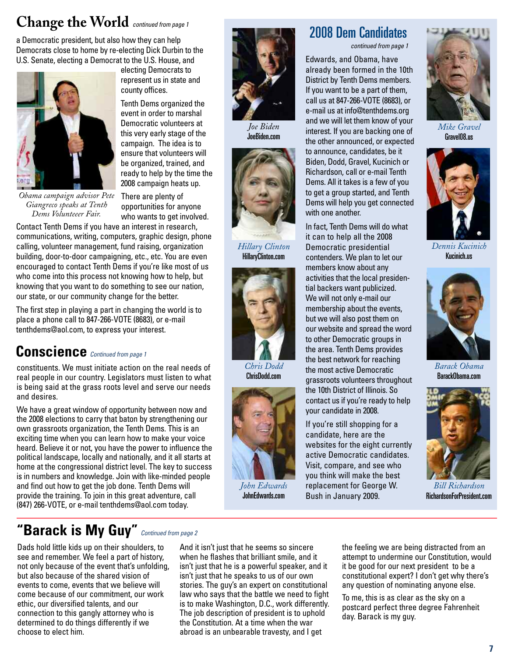## **Change the World** *continued from page 1*

a Democratic president, but also how they can help Democrats close to home by re-electing Dick Durbin to the U.S. Senate, electing a Democrat to the U.S. House, and



electing Democrats to represent us in state and county offices.

Tenth Dems organized the event in order to marshal Democratic volunteers at this very early stage of the campaign. The idea is to ensure that volunteers will be organized, trained, and ready to help by the time the 2008 campaign heats up.

*Joe Biden* JoeBiden.com

*Hillary Clinton* HillaryClinton.com

> *Chris Dodd* ChrisDodd.com

*John Edwards* JohnEdwards.com

*Obama campaign advisor Pete Giangreco speaks at Tenth Dems Volunteeer Fair.*

There are plenty of opportunities for anyone who wants to get involved.

Contact Tenth Dems if you have an interest in research, communications, writing, computers, graphic design, phone calling, volunteer management, fund raising, organization building, door-to-door campaigning, etc., etc. You are even encouraged to contact Tenth Dems if you're like most of us who come into this process not knowing how to help, but knowing that you want to do something to see our nation, our state, or our community change for the better.

The first step in playing a part in changing the world is to place a phone call to 847-266-VOTE (8683), or e-mail tenthdems@aol.com, to express your interest.

### **Conscience** *Continued from page 1*

constituents. We must initiate action on the real needs of real people in our country. Legislators must listen to what is being said at the grass roots level and serve our needs and desires.

We have a great window of opportunity between now and the 2008 elections to carry that baton by strengthening our own grassroots organization, the Tenth Dems. This is an exciting time when you can learn how to make your voice heard. Believe it or not, you have the power to influence the political landscape, locally and nationally, and it all starts at home at the congressional district level. The key to success is in numbers and knowledge. Join with like-minded people and find out how to get the job done. Tenth Dems will provide the training. To join in this great adventure, call (847) 266-VOTE, or e-mail tenthdems@aol.com today.

### **"Barack is My Guy"** *Continued from page 2*

Dads hold little kids up on their shoulders, to see and remember. We feel a part of history, not only because of the event that's unfolding, but also because of the shared vision of events to come, events that we believe will come because of our commitment, our work ethic, our diversified talents, and our connection to this gangly attorney who is determined to do things differently if we choose to elect him.

And it isn't just that he seems so sincere when he flashes that brilliant smile, and it isn't just that he is a powerful speaker, and it isn't just that he speaks to us of our own stories. The guy's an expert on constitutional law who says that the battle we need to fight is to make Washington, D.C., work differently. The job description of president is to uphold the Constitution. At a time when the war abroad is an unbearable travesty, and I get

### 2008 Dem Candidates

*continued from page 1*

Edwards, and Obama, have already been formed in the 10th District by Tenth Dems members. If you want to be a part of them, call us at 847-266-VOTE (8683), or e-mail us at info@tenthdems.org and we will let them know of your interest. If you are backing one of the other announced, or expected to announce, candidates, be it Biden, Dodd, Gravel, Kucinich or Richardson, call or e-mail Tenth Dems. All it takes is a few of you to get a group started, and Tenth Dems will help you get connected with one another.

In fact, Tenth Dems will do what it can to help all the 2008 Democratic presidential contenders. We plan to let our members know about any activities that the local presidential backers want publicized. We will not only e-mail our membership about the events, but we will also post them on our website and spread the word to other Democratic groups in the area. Tenth Dems provides the best network for reaching the most active Democratic grassroots volunteers throughout the 10th District of Illinois. So contact us if you're ready to help your candidate in 2008.

If you're still shopping for a candidate, here are the websites for the eight currently active Democratic candidates. Visit, compare, and see who you think will make the best replacement for George W. Bush in January 2009.



*Mike Gravel* Gravel08.us



*Dennis Kucinich* Kucinich.us



*Barack Obama* BarackObama.com



*Bill Richardson* RichardsonForPresident.com

the feeling we are being distracted from an attempt to undermine our Constitution, would it be good for our next president to be a constitutional expert? I don't get why there's any question of nominating anyone else.

To me, this is as clear as the sky on a postcard perfect three degree Fahrenheit day. Barack is my guy.